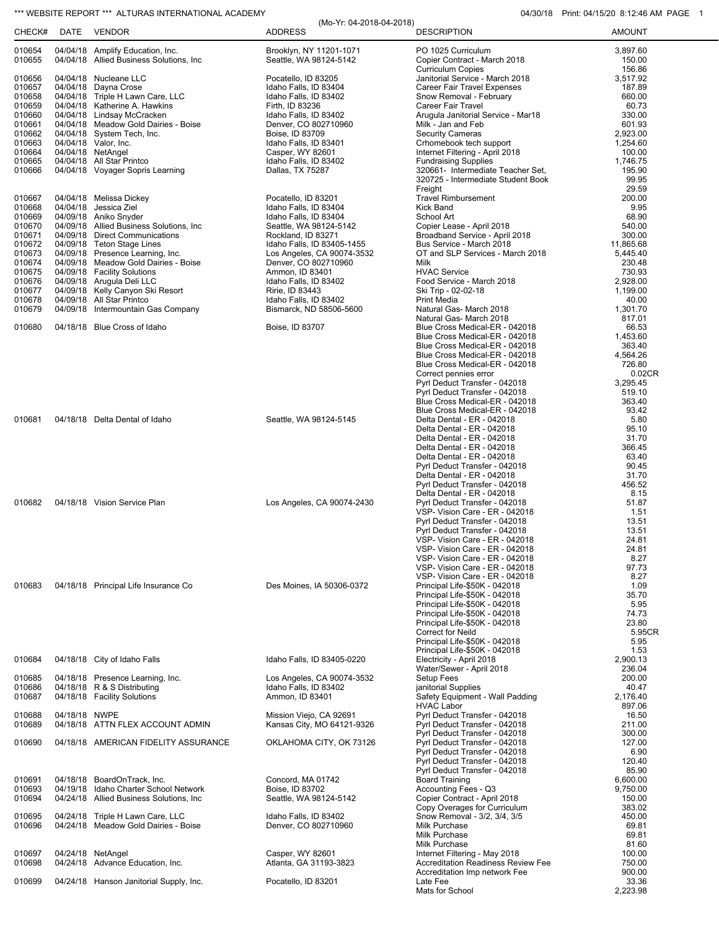## \*\*\* WEBSITE REPORT \*\*\* ALTURAS INTERNATIONAL ACADEMY **04/30/18** Print: 04/15/20 8:12:46 AM PAGE 1

| CHECK#           | DATE          | <b>VENDOR</b>                                                                | <b>ADDRESS</b>                                     | <b>DESCRIPTION</b>                                               | <b>AMOUNT</b>      |
|------------------|---------------|------------------------------------------------------------------------------|----------------------------------------------------|------------------------------------------------------------------|--------------------|
| 010654<br>010655 |               | 04/04/18 Amplify Education, Inc.<br>04/04/18 Allied Business Solutions, Inc. | Brooklyn, NY 11201-1071<br>Seattle, WA 98124-5142  | PO 1025 Curriculum<br>Copier Contract - March 2018               | 3,897.60<br>150.00 |
| 010656           |               | 04/04/18 Nucleane LLC                                                        | Pocatello, ID 83205                                | <b>Curriculum Copies</b><br>Janitorial Service - March 2018      | 156.86<br>3,517.92 |
| 010657           |               | 04/04/18 Dayna Crose                                                         | Idaho Falls, ID 83404                              | Career Fair Travel Expenses                                      | 187.89             |
| 010658           |               | 04/04/18 Triple H Lawn Care, LLC                                             | Idaho Falls, ID 83402                              | Snow Removal - February                                          | 660.00             |
| 010659           |               | 04/04/18 Katherine A. Hawkins                                                | Firth, ID 83236                                    | Career Fair Travel                                               | 60.73              |
| 010660<br>010661 |               | 04/04/18 Lindsay McCracken<br>04/04/18 Meadow Gold Dairies - Boise           | Idaho Falls, ID 83402<br>Denver, CO 802710960      | Arugula Janitorial Service - Mar18<br>Milk - Jan and Feb         | 330.00<br>601.93   |
| 010662           |               | 04/04/18 System Tech, Inc.                                                   | Boise, ID 83709                                    | <b>Security Cameras</b>                                          | 2,923.00           |
| 010663           |               | 04/04/18 Valor, Inc.                                                         | Idaho Falls, ID 83401                              | Crhomebook tech support                                          | 1,254.60           |
| 010664           |               | 04/04/18 NetAngel                                                            | Casper, WY 82601                                   | Internet Filtering - April 2018                                  | 100.00             |
| 010665<br>010666 |               | 04/04/18 All Star Printco<br>04/04/18 Voyager Sopris Learning                | Idaho Falls, ID 83402<br>Dallas, TX 75287          | <b>Fundraising Supplies</b><br>320661- Intermediate Teacher Set, | 1,746.75<br>195.90 |
|                  |               |                                                                              |                                                    | 320725 - Intermediate Student Book                               | 99.95              |
|                  |               |                                                                              |                                                    | Freight                                                          | 29.59              |
| 010667           |               | 04/04/18 Melissa Dickey                                                      | Pocatello, ID 83201                                | <b>Travel Rimbursement</b>                                       | 200.00             |
| 010668<br>010669 |               | 04/04/18 Jessica Ziel<br>04/09/18 Aniko Snyder                               | Idaho Falls, ID 83404<br>Idaho Falls, ID 83404     | Kick Band<br>School Art                                          | 9.95<br>68.90      |
| 010670           |               | 04/09/18 Allied Business Solutions, Inc.                                     | Seattle, WA 98124-5142                             | Copier Lease - April 2018                                        | 540.00             |
| 010671           |               | 04/09/18 Direct Communications                                               | Rockland, ID 83271                                 | Broadband Service - April 2018                                   | 300.00             |
| 010672           |               | 04/09/18 Teton Stage Lines                                                   | Idaho Falls, ID 83405-1455                         | Bus Service - March 2018                                         | 11,865.68          |
| 010673<br>010674 |               | 04/09/18 Presence Learning, Inc.<br>04/09/18 Meadow Gold Dairies - Boise     | Los Angeles, CA 90074-3532<br>Denver, CO 802710960 | OT and SLP Services - March 2018<br>Milk                         | 5,445.40<br>230.48 |
| 010675           |               | 04/09/18 Facility Solutions                                                  | Ammon, ID 83401                                    | <b>HVAC Service</b>                                              | 730.93             |
| 010676           |               | 04/09/18 Arugula Deli LLC                                                    | Idaho Falls, ID 83402                              | Food Service - March 2018                                        | 2,928.00           |
| 010677           |               | 04/09/18 Kelly Canyon Ski Resort                                             | Ririe, ID 83443                                    | Ski Trip - 02-02-18                                              | 1,199.00           |
| 010678<br>010679 |               | 04/09/18 All Star Printco<br>04/09/18 Intermountain Gas Company              | Idaho Falls, ID 83402<br>Bismarck, ND 58506-5600   | <b>Print Media</b><br>Natural Gas- March 2018                    | 40.00<br>1,301.70  |
|                  |               |                                                                              |                                                    | Natural Gas- March 2018                                          | 817.01             |
| 010680           |               | 04/18/18 Blue Cross of Idaho                                                 | Boise, ID 83707                                    | Blue Cross Medical-ER - 042018                                   | 66.53              |
|                  |               |                                                                              |                                                    | Blue Cross Medical-ER - 042018                                   | 1,453.60           |
|                  |               |                                                                              |                                                    | Blue Cross Medical-ER - 042018<br>Blue Cross Medical-ER - 042018 | 363.40<br>4,564.26 |
|                  |               |                                                                              |                                                    | Blue Cross Medical-ER - 042018                                   | 726.80             |
|                  |               |                                                                              |                                                    | Correct pennies error                                            | 0.02CR             |
|                  |               |                                                                              |                                                    | Pyrl Deduct Transfer - 042018                                    | 3,295.45           |
|                  |               |                                                                              |                                                    | Pyrl Deduct Transfer - 042018<br>Blue Cross Medical-ER - 042018  | 519.10<br>363.40   |
|                  |               |                                                                              |                                                    | Blue Cross Medical-ER - 042018                                   | 93.42              |
| 010681           |               | 04/18/18 Delta Dental of Idaho                                               | Seattle, WA 98124-5145                             | Delta Dental - ER - 042018                                       | 5.80               |
|                  |               |                                                                              |                                                    | Delta Dental - ER - 042018                                       | 95.10              |
|                  |               |                                                                              |                                                    | Delta Dental - ER - 042018<br>Delta Dental - ER - 042018         | 31.70<br>366.45    |
|                  |               |                                                                              |                                                    | Delta Dental - ER - 042018                                       | 63.40              |
|                  |               |                                                                              |                                                    | Pyrl Deduct Transfer - 042018                                    | 90.45              |
|                  |               |                                                                              |                                                    | Delta Dental - ER - 042018                                       | 31.70              |
|                  |               |                                                                              |                                                    | Pyrl Deduct Transfer - 042018<br>Delta Dental - ER - 042018      | 456.52<br>8.15     |
| 010682           |               | 04/18/18 Vision Service Plan                                                 | Los Angeles, CA 90074-2430                         | Pyrl Deduct Transfer - 042018                                    | 51.87              |
|                  |               |                                                                              |                                                    | VSP- Vision Care - ER - 042018                                   | 1.51               |
|                  |               |                                                                              |                                                    | Pyrl Deduct Transfer - 042018                                    | 13.51              |
|                  |               |                                                                              |                                                    | Pyrl Deduct Transfer - 042018<br>VSP- Vision Care - ER - 042018  | 13.51<br>24.81     |
|                  |               |                                                                              |                                                    | VSP- Vision Care - ER - 042018                                   | 24.81              |
|                  |               |                                                                              |                                                    | VSP- Vision Care - ER - 042018                                   | 8.27               |
|                  |               |                                                                              |                                                    | VSP- Vision Care - ER - 042018                                   | 97.73              |
| 010683           |               | 04/18/18 Principal Life Insurance Co                                         | Des Moines, IA 50306-0372                          | VSP- Vision Care - ER - 042018<br>Principal Life-\$50K - 042018  | 8.27<br>1.09       |
|                  |               |                                                                              |                                                    | Principal Life-\$50K - 042018                                    | 35.70              |
|                  |               |                                                                              |                                                    | Principal Life-\$50K - 042018                                    | 5.95               |
|                  |               |                                                                              |                                                    | Principal Life-\$50K - 042018<br>Principal Life-\$50K - 042018   | 74.73<br>23.80     |
|                  |               |                                                                              |                                                    | <b>Correct for Neild</b>                                         | 5.95CR             |
|                  |               |                                                                              |                                                    | Principal Life-\$50K - 042018                                    | 5.95               |
|                  |               |                                                                              |                                                    | Principal Life-\$50K - 042018                                    | 1.53               |
| 010684           |               | 04/18/18 City of Idaho Falls                                                 | Idaho Falls, ID 83405-0220                         | Electricity - April 2018<br>Water/Sewer - April 2018             | 2,900.13<br>236.04 |
| 010685           |               | 04/18/18 Presence Learning, Inc.                                             | Los Angeles, CA 90074-3532                         | Setup Fees                                                       | 200.00             |
| 010686           |               | 04/18/18 R & S Distributing                                                  | Idaho Falls, ID 83402                              | janitorial Supplies                                              | 40.47              |
| 010687           |               | 04/18/18 Facility Solutions                                                  | Ammon, ID 83401                                    | Safety Equipment - Wall Padding                                  | 2,176.40           |
| 010688           | 04/18/18 NWPE |                                                                              | Mission Viejo, CA 92691                            | <b>HVAC Labor</b><br>Pyrl Deduct Transfer - 042018               | 897.06<br>16.50    |
| 010689           |               | 04/18/18 ATTN FLEX ACCOUNT ADMIN                                             | Kansas City, MO 64121-9326                         | Pyrl Deduct Transfer - 042018                                    | 211.00             |
|                  |               |                                                                              |                                                    | Pyrl Deduct Transfer - 042018                                    | 300.00             |
| 010690           |               | 04/18/18 AMERICAN FIDELITY ASSURANCE                                         | OKLAHOMA CITY, OK 73126                            | Pyrl Deduct Transfer - 042018                                    | 127.00             |
|                  |               |                                                                              |                                                    | Pyrl Deduct Transfer - 042018<br>Pyrl Deduct Transfer - 042018   | 6.90<br>120.40     |
|                  |               |                                                                              |                                                    | Pyrl Deduct Transfer - 042018                                    | 85.90              |
| 010691           |               | 04/18/18 BoardOnTrack, Inc.                                                  | Concord, MA 01742                                  | <b>Board Training</b>                                            | 6,600.00           |
| 010693           |               | 04/19/18 Idaho Charter School Network                                        | Boise, ID 83702                                    | Accounting Fees - Q3                                             | 9,750.00           |
| 010694           |               | 04/24/18 Allied Business Solutions, Inc.                                     | Seattle, WA 98124-5142                             | Copier Contract - April 2018<br>Copy Overages for Curriculum     | 150.00<br>383.02   |
| 010695           |               | 04/24/18 Triple H Lawn Care, LLC                                             | Idaho Falls, ID 83402                              | Snow Removal - 3/2, 3/4, 3/5                                     | 450.00             |
| 010696           |               | 04/24/18 Meadow Gold Dairies - Boise                                         | Denver, CO 802710960                               | Milk Purchase                                                    | 69.81              |
|                  |               |                                                                              |                                                    | Milk Purchase                                                    | 69.81              |
| 010697           |               | 04/24/18 NetAngel                                                            | Casper, WY 82601                                   | Milk Purchase<br>Internet Filtering - May 2018                   | 81.60<br>100.00    |
| 010698           |               | 04/24/18 Advance Education, Inc.                                             | Atlanta, GA 31193-3823                             | <b>Accreditation Readiness Review Fee</b>                        | 750.00             |
|                  |               |                                                                              |                                                    | Accreditation Imp network Fee                                    | 900.00             |
| 010699           |               | 04/24/18 Hanson Janitorial Supply, Inc.                                      | Pocatello, ID 83201                                | Late Fee                                                         | 33.36              |
|                  |               |                                                                              |                                                    | Mats for School                                                  | 2,223.98           |

(Mo-Yr: 04-2018-04-2018)